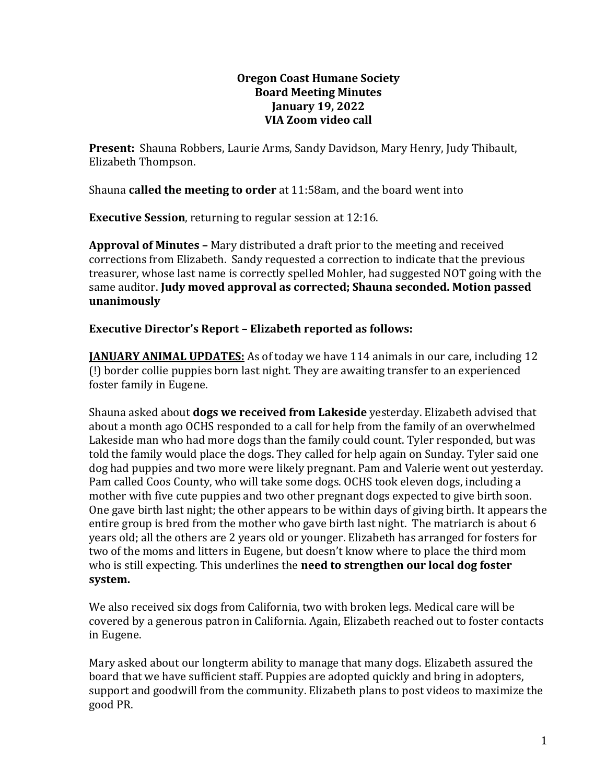### **Oregon Coast Humane Society Board Meeting Minutes January 19, 2022 VIA Zoom video call**

**Present:** Shauna Robbers, Laurie Arms, Sandy Davidson, Mary Henry, Judy Thibault, Elizabeth Thompson.

Shauna **called the meeting to order** at 11:58am, and the board went into

**Executive Session**, returning to regular session at 12:16.

**Approval of Minutes –** Mary distributed a draft prior to the meeting and received corrections from Elizabeth. Sandy requested a correction to indicate that the previous treasurer, whose last name is correctly spelled Mohler, had suggested NOT going with the same auditor. **Judy moved approval as corrected; Shauna seconded. Motion passed unanimously**

## **Executive Director's Report – Elizabeth reported as follows:**

**JANUARY ANIMAL UPDATES:** As of today we have 114 animals in our care, including 12 (!) border collie puppies born last night. They are awaiting transfer to an experienced foster family in Eugene.

Shauna asked about **dogs we received from Lakeside** yesterday. Elizabeth advised that about a month ago OCHS responded to a call for help from the family of an overwhelmed Lakeside man who had more dogs than the family could count. Tyler responded, but was told the family would place the dogs. They called for help again on Sunday. Tyler said one dog had puppies and two more were likely pregnant. Pam and Valerie went out yesterday. Pam called Coos County, who will take some dogs. OCHS took eleven dogs, including a mother with five cute puppies and two other pregnant dogs expected to give birth soon. One gave birth last night; the other appears to be within days of giving birth. It appears the entire group is bred from the mother who gave birth last night. The matriarch is about 6 years old; all the others are 2 years old or younger. Elizabeth has arranged for fosters for two of the moms and litters in Eugene, but doesn't know where to place the third mom who is still expecting. This underlines the **need to strengthen our local dog foster system.**

We also received six dogs from California, two with broken legs. Medical care will be covered by a generous patron in California. Again, Elizabeth reached out to foster contacts in Eugene.

Mary asked about our longterm ability to manage that many dogs. Elizabeth assured the board that we have sufficient staff. Puppies are adopted quickly and bring in adopters, support and goodwill from the community. Elizabeth plans to post videos to maximize the good PR.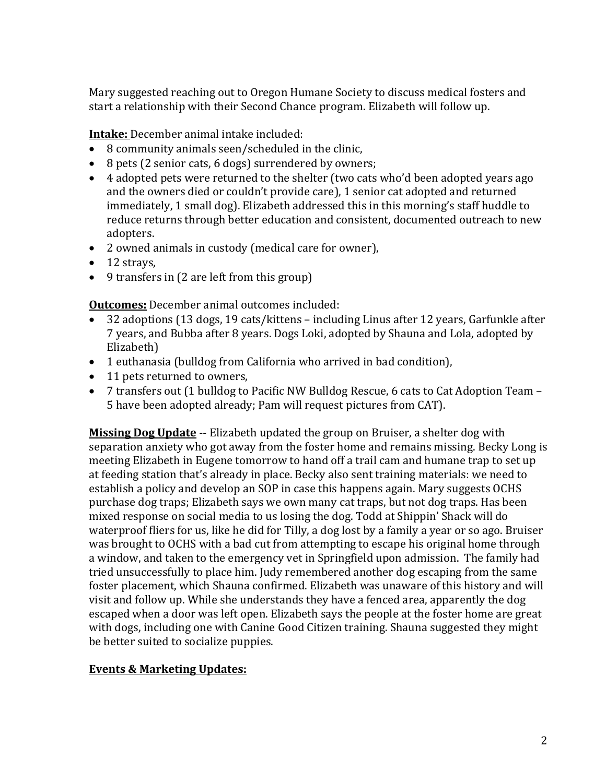Mary suggested reaching out to Oregon Humane Society to discuss medical fosters and start a relationship with their Second Chance program. Elizabeth will follow up.

**Intake:** December animal intake included:

- 8 community animals seen/scheduled in the clinic,
- 8 pets (2 senior cats, 6 dogs) surrendered by owners;
- 4 adopted pets were returned to the shelter (two cats who'd been adopted years ago and the owners died or couldn't provide care), 1 senior cat adopted and returned immediately, 1 small dog). Elizabeth addressed this in this morning's staff huddle to reduce returns through better education and consistent, documented outreach to new adopters.
- 2 owned animals in custody (medical care for owner),
- $\bullet$  12 stravs.
- 9 transfers in (2 are left from this group)

**Outcomes:** December animal outcomes included:

- 32 adoptions (13 dogs, 19 cats/kittens including Linus after 12 years, Garfunkle after 7 years, and Bubba after 8 years. Dogs Loki, adopted by Shauna and Lola, adopted by Elizabeth)
- 1 euthanasia (bulldog from California who arrived in bad condition),
- 11 pets returned to owners,
- 7 transfers out (1 bulldog to Pacific NW Bulldog Rescue, 6 cats to Cat Adoption Team 5 have been adopted already; Pam will request pictures from CAT).

**Missing Dog Update** -- Elizabeth updated the group on Bruiser, a shelter dog with separation anxiety who got away from the foster home and remains missing. Becky Long is meeting Elizabeth in Eugene tomorrow to hand off a trail cam and humane trap to set up at feeding station that's already in place. Becky also sent training materials: we need to establish a policy and develop an SOP in case this happens again. Mary suggests OCHS purchase dog traps; Elizabeth says we own many cat traps, but not dog traps. Has been mixed response on social media to us losing the dog. Todd at Shippin' Shack will do waterproof fliers for us, like he did for Tilly, a dog lost by a family a year or so ago. Bruiser was brought to OCHS with a bad cut from attempting to escape his original home through a window, and taken to the emergency vet in Springfield upon admission. The family had tried unsuccessfully to place him. Judy remembered another dog escaping from the same foster placement, which Shauna confirmed. Elizabeth was unaware of this history and will visit and follow up. While she understands they have a fenced area, apparently the dog escaped when a door was left open. Elizabeth says the people at the foster home are great with dogs, including one with Canine Good Citizen training. Shauna suggested they might be better suited to socialize puppies.

### **Events & Marketing Updates:**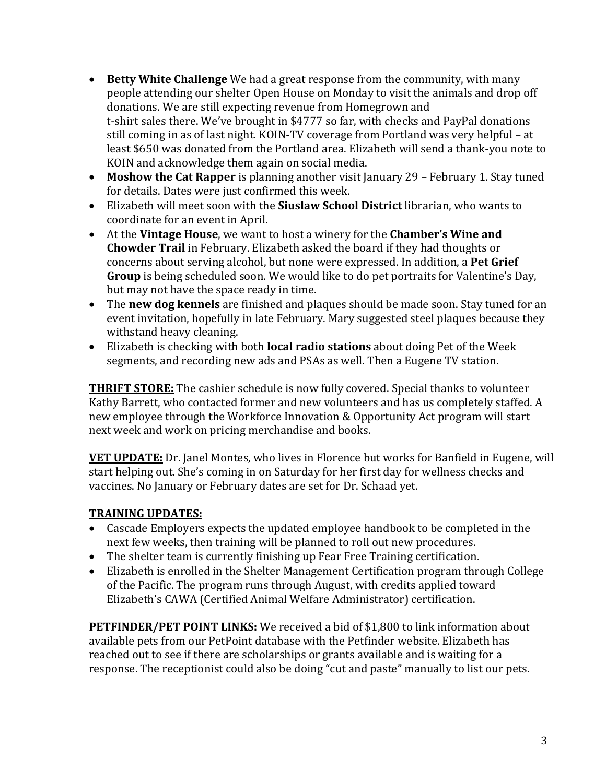- **Betty White Challenge** We had a great response from the community, with many people attending our shelter Open House on Monday to visit the animals and drop off donations. We are still expecting revenue from Homegrown and t-shirt sales there. We've brought in \$4777 so far, with checks and PayPal donations still coming in as of last night. KOIN-TV coverage from Portland was very helpful – at least \$650 was donated from the Portland area. Elizabeth will send a thank-you note to KOIN and acknowledge them again on social media.
- **Moshow the Cat Rapper** is planning another visit January 29 February 1. Stay tuned for details. Dates were just confirmed this week.
- Elizabeth will meet soon with the **Siuslaw School District** librarian, who wants to coordinate for an event in April.
- At the **Vintage House**, we want to host a winery for the **Chamber's Wine and Chowder Trail** in February. Elizabeth asked the board if they had thoughts or concerns about serving alcohol, but none were expressed. In addition, a **Pet Grief Group** is being scheduled soon. We would like to do pet portraits for Valentine's Day, but may not have the space ready in time.
- The **new dog kennels** are finished and plaques should be made soon. Stay tuned for an event invitation, hopefully in late February. Mary suggested steel plaques because they withstand heavy cleaning.
- Elizabeth is checking with both **local radio stations** about doing Pet of the Week segments, and recording new ads and PSAs as well. Then a Eugene TV station.

**THRIFT STORE:** The cashier schedule is now fully covered. Special thanks to volunteer Kathy Barrett, who contacted former and new volunteers and has us completely staffed. A new employee through the Workforce Innovation & Opportunity Act program will start next week and work on pricing merchandise and books.

**VET UPDATE:** Dr. Janel Montes, who lives in Florence but works for Banfield in Eugene, will start helping out. She's coming in on Saturday for her first day for wellness checks and vaccines. No January or February dates are set for Dr. Schaad yet.

# **TRAINING UPDATES:**

- Cascade Employers expects the updated employee handbook to be completed in the next few weeks, then training will be planned to roll out new procedures.
- The shelter team is currently finishing up Fear Free Training certification.
- Elizabeth is enrolled in the Shelter Management Certification program through College of the Pacific. The program runs through August, with credits applied toward Elizabeth's CAWA (Certified Animal Welfare Administrator) certification.

**PETFINDER/PET POINT LINKS:** We received a bid of \$1,800 to link information about available pets from our PetPoint database with the Petfinder website. Elizabeth has reached out to see if there are scholarships or grants available and is waiting for a response. The receptionist could also be doing "cut and paste" manually to list our pets.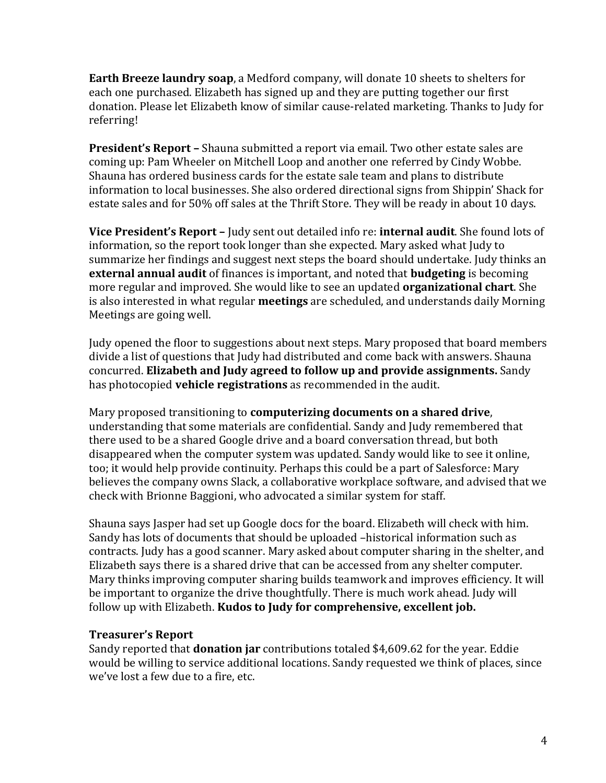**Earth Breeze laundry soap**, a Medford company, will donate 10 sheets to shelters for each one purchased. Elizabeth has signed up and they are putting together our first donation. Please let Elizabeth know of similar cause-related marketing. Thanks to Judy for referring!

**President's Report –** Shauna submitted a report via email. Two other estate sales are coming up: Pam Wheeler on Mitchell Loop and another one referred by Cindy Wobbe. Shauna has ordered business cards for the estate sale team and plans to distribute information to local businesses. She also ordered directional signs from Shippin' Shack for estate sales and for 50% off sales at the Thrift Store. They will be ready in about 10 days.

**Vice President's Report –** Judy sent out detailed info re: **internal audit**. She found lots of information, so the report took longer than she expected. Mary asked what Judy to summarize her findings and suggest next steps the board should undertake. Judy thinks an **external annual audit** of finances is important, and noted that **budgeting** is becoming more regular and improved. She would like to see an updated **organizational chart**. She is also interested in what regular **meetings** are scheduled, and understands daily Morning Meetings are going well.

Judy opened the floor to suggestions about next steps. Mary proposed that board members divide a list of questions that Judy had distributed and come back with answers. Shauna concurred. **Elizabeth and Judy agreed to follow up and provide assignments.** Sandy has photocopied **vehicle registrations** as recommended in the audit.

Mary proposed transitioning to **computerizing documents on a shared drive**, understanding that some materials are confidential. Sandy and Judy remembered that there used to be a shared Google drive and a board conversation thread, but both disappeared when the computer system was updated. Sandy would like to see it online, too; it would help provide continuity. Perhaps this could be a part of Salesforce: Mary believes the company owns Slack, a collaborative workplace software, and advised that we check with Brionne Baggioni, who advocated a similar system for staff.

Shauna says Jasper had set up Google docs for the board. Elizabeth will check with him. Sandy has lots of documents that should be uploaded –historical information such as contracts. Judy has a good scanner. Mary asked about computer sharing in the shelter, and Elizabeth says there is a shared drive that can be accessed from any shelter computer. Mary thinks improving computer sharing builds teamwork and improves efficiency. It will be important to organize the drive thoughtfully. There is much work ahead. Judy will follow up with Elizabeth. **Kudos to Judy for comprehensive, excellent job.**

## **Treasurer's Report**

Sandy reported that **donation jar** contributions totaled \$4,609.62 for the year. Eddie would be willing to service additional locations. Sandy requested we think of places, since we've lost a few due to a fire, etc.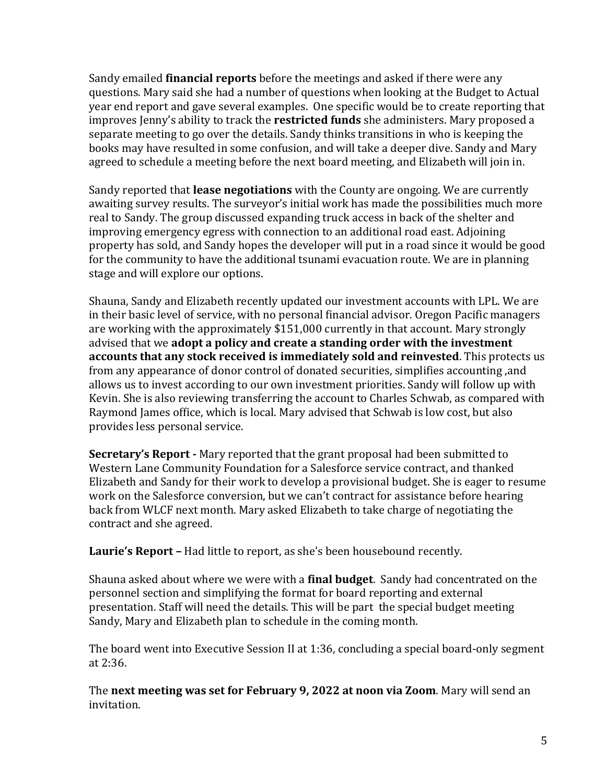Sandy emailed **financial reports** before the meetings and asked if there were any questions. Mary said she had a number of questions when looking at the Budget to Actual year end report and gave several examples. One specific would be to create reporting that improves Jenny's ability to track the **restricted funds** she administers. Mary proposed a separate meeting to go over the details. Sandy thinks transitions in who is keeping the books may have resulted in some confusion, and will take a deeper dive. Sandy and Mary agreed to schedule a meeting before the next board meeting, and Elizabeth will join in.

Sandy reported that **lease negotiations** with the County are ongoing. We are currently awaiting survey results. The surveyor's initial work has made the possibilities much more real to Sandy. The group discussed expanding truck access in back of the shelter and improving emergency egress with connection to an additional road east. Adjoining property has sold, and Sandy hopes the developer will put in a road since it would be good for the community to have the additional tsunami evacuation route. We are in planning stage and will explore our options.

Shauna, Sandy and Elizabeth recently updated our investment accounts with LPL. We are in their basic level of service, with no personal financial advisor. Oregon Pacific managers are working with the approximately \$151,000 currently in that account. Mary strongly advised that we **adopt a policy and create a standing order with the investment accounts that any stock received is immediately sold and reinvested**. This protects us from any appearance of donor control of donated securities, simplifies accounting ,and allows us to invest according to our own investment priorities. Sandy will follow up with Kevin. She is also reviewing transferring the account to Charles Schwab, as compared with Raymond James office, which is local. Mary advised that Schwab is low cost, but also provides less personal service.

**Secretary's Report -** Mary reported that the grant proposal had been submitted to Western Lane Community Foundation for a Salesforce service contract, and thanked Elizabeth and Sandy for their work to develop a provisional budget. She is eager to resume work on the Salesforce conversion, but we can't contract for assistance before hearing back from WLCF next month. Mary asked Elizabeth to take charge of negotiating the contract and she agreed.

**Laurie's Report –** Had little to report, as she's been housebound recently.

Shauna asked about where we were with a **final budget**. Sandy had concentrated on the personnel section and simplifying the format for board reporting and external presentation. Staff will need the details. This will be part the special budget meeting Sandy, Mary and Elizabeth plan to schedule in the coming month.

The board went into Executive Session II at 1:36, concluding a special board-only segment at 2:36.

The **next meeting was set for February 9, 2022 at noon via Zoom**. Mary will send an invitation.